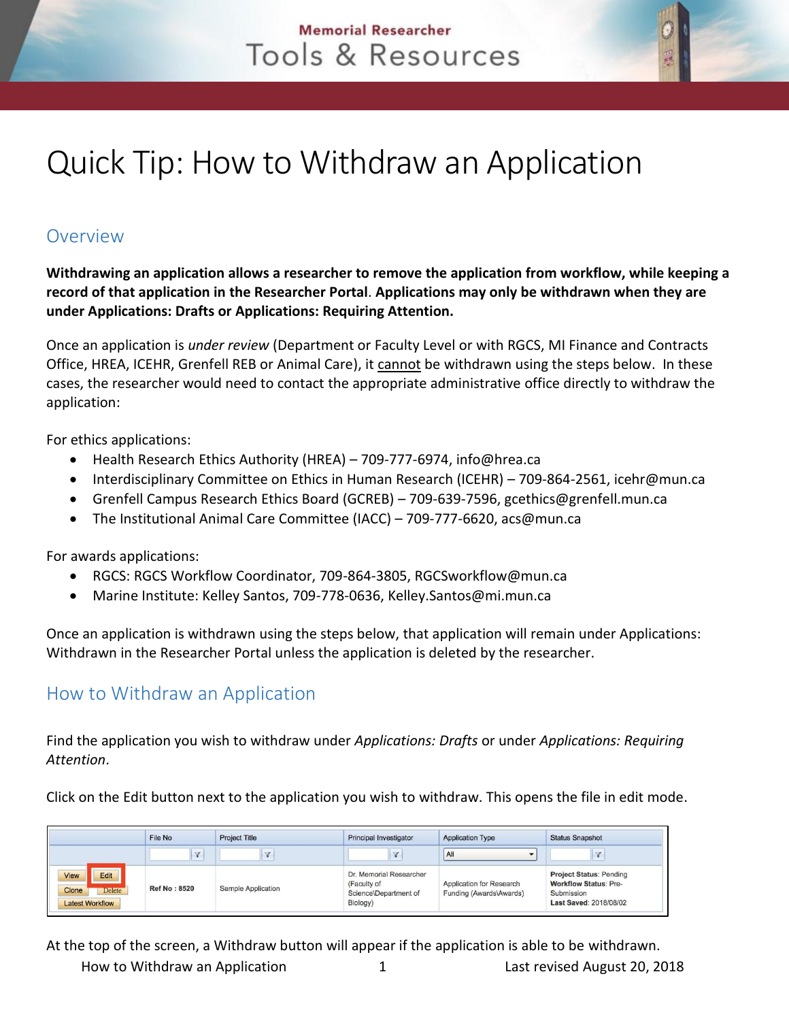## **Memorial Researcher** Tools & Resources

## Quick Tip: How to Withdraw an Application

## Overview

**Withdrawing an application allows a researcher to remove the application from workflow, while keeping a record of that application in the Researcher Portal**. **Applications may only be withdrawn when they are under Applications: Drafts or Applications: Requiring Attention.**

Once an application is *under review* (Department or Faculty Level or with RGCS, MI Finance and Contracts Office, HREA, ICEHR, Grenfell REB or Animal Care), it cannot be withdrawn using the steps below. In these cases, the researcher would need to contact the appropriate administrative office directly to withdraw the application:

For ethics applications:

- Health Research Ethics Authority (HREA) 709-777-6974, info@hrea.ca
- Interdisciplinary Committee on Ethics in Human Research (ICEHR) 709-864-2561, icehr@mun.ca
- Grenfell Campus Research Ethics Board (GCREB) 709-639-7596, gcethics@grenfell.mun.ca
- The Institutional Animal Care Committee (IACC) 709-777-6620, acs@mun.ca

For awards applications:

- RGCS: RGCS Workflow Coordinator, 709-864-3805, RGCSworkflow@mun.ca
- Marine Institute: Kelley Santos, 709-778-0636, Kelley.Santos@mi.mun.ca

Once an application is withdrawn using the steps below, that application will remain under Applications: Withdrawn in the Researcher Portal unless the application is deleted by the researcher.

## How to Withdraw an Application

Find the application you wish to withdraw under *Applications: Drafts* or under *Applications: Requiring Attention*.

Click on the Edit button next to the application you wish to withdraw. This opens the file in edit mode.

|                                                                         | File No             | <b>Project Title</b> | <b>Principal Investigator</b>                                               | <b>Application Type</b>                             | <b>Status Snapshot</b>                                                                                 |
|-------------------------------------------------------------------------|---------------------|----------------------|-----------------------------------------------------------------------------|-----------------------------------------------------|--------------------------------------------------------------------------------------------------------|
|                                                                         | $\sqrt{2}$          |                      | Y                                                                           | All<br>$\cdot$                                      |                                                                                                        |
| Edit<br><b>View</b><br>Clone<br><b>Delete</b><br><b>Latest Workflow</b> | <b>Ref No: 8520</b> | Sample Application   | Dr. Memorial Researcher<br>(Faculty of<br>Science\Department of<br>Biology) | Application for Research<br>Funding (Awards\Awards) | <b>Project Status: Pending</b><br><b>Workflow Status: Pre-</b><br>Submission<br>Last Saved: 2018/08/02 |

How to Withdraw an Application 1 Last revised August 20, 2018 At the top of the screen, a Withdraw button will appear if the application is able to be withdrawn.